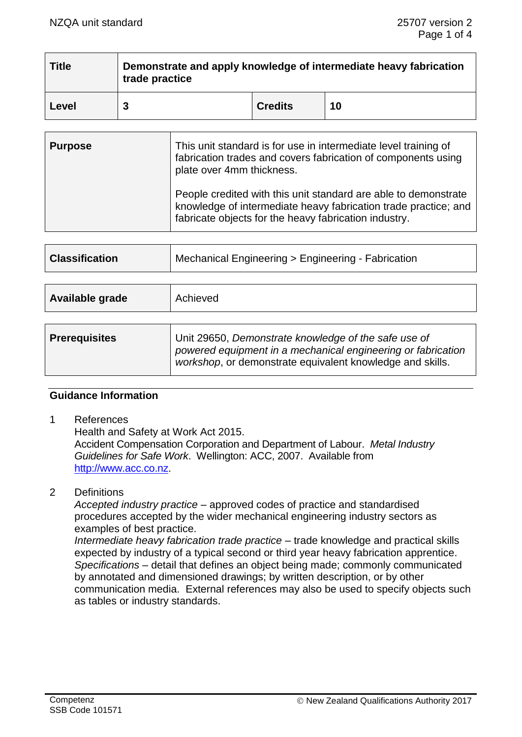| <b>Title</b> | Demonstrate and apply knowledge of intermediate heavy fabrication<br>trade practice |                |    |  |  |
|--------------|-------------------------------------------------------------------------------------|----------------|----|--|--|
| Level        |                                                                                     | <b>Credits</b> | 10 |  |  |

| <b>Purpose</b> | This unit standard is for use in intermediate level training of<br>fabrication trades and covers fabrication of components using<br>plate over 4mm thickness.                               |
|----------------|---------------------------------------------------------------------------------------------------------------------------------------------------------------------------------------------|
|                | People credited with this unit standard are able to demonstrate<br>knowledge of intermediate heavy fabrication trade practice; and<br>fabricate objects for the heavy fabrication industry. |

| <b>Classification</b> | Mechanical Engineering > Engineering - Fabrication                                                                                                                                |  |
|-----------------------|-----------------------------------------------------------------------------------------------------------------------------------------------------------------------------------|--|
|                       |                                                                                                                                                                                   |  |
| Available grade       | Achieved                                                                                                                                                                          |  |
|                       |                                                                                                                                                                                   |  |
| <b>Prerequisites</b>  | Unit 29650, Demonstrate knowledge of the safe use of<br>powered equipment in a mechanical engineering or fabrication<br>workshop, or demonstrate equivalent knowledge and skills. |  |

## **Guidance Information**

1 References

Health and Safety at Work Act 2015. Accident Compensation Corporation and Department of Labour. *Metal Industry Guidelines for Safe Work*. Wellington: ACC, 2007. Available from [http://www.acc.co.nz.](http://www.acc.co.nz/)

2 Definitions

*Accepted industry practice –* approved codes of practice and standardised procedures accepted by the wider mechanical engineering industry sectors as examples of best practice.

*Intermediate heavy fabrication trade practice* – trade knowledge and practical skills expected by industry of a typical second or third year heavy fabrication apprentice. *Specifications –* detail that defines an object being made; commonly communicated by annotated and dimensioned drawings; by written description, or by other communication media. External references may also be used to specify objects such as tables or industry standards.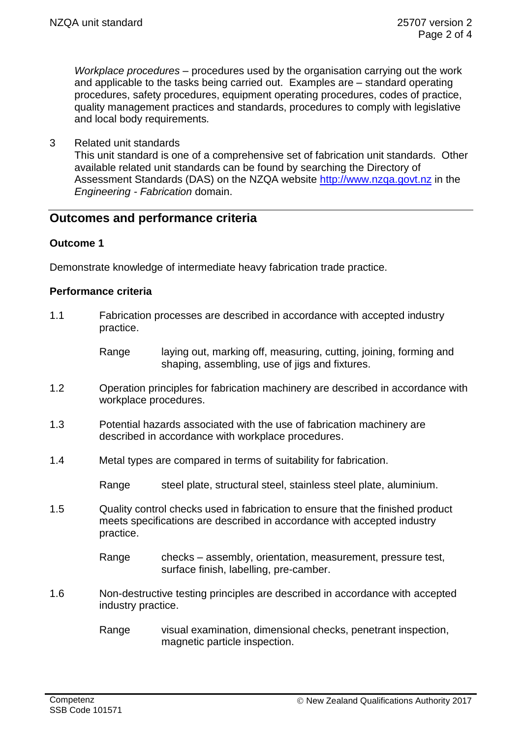*Workplace procedures –* procedures used by the organisation carrying out the work and applicable to the tasks being carried out. Examples are – standard operating procedures, safety procedures, equipment operating procedures, codes of practice, quality management practices and standards, procedures to comply with legislative and local body requirements*.*

3 Related unit standards

This unit standard is one of a comprehensive set of fabrication unit standards. Other available related unit standards can be found by searching the Directory of Assessment Standards (DAS) on the NZQA website [http://www.nzqa.govt.nz](http://www.nzqa.govt.nz/) in the *Engineering - Fabrication* domain.

## **Outcomes and performance criteria**

## **Outcome 1**

Demonstrate knowledge of intermediate heavy fabrication trade practice.

## **Performance criteria**

- 1.1 Fabrication processes are described in accordance with accepted industry practice.
	- Range laying out, marking off, measuring, cutting, joining, forming and shaping, assembling, use of jigs and fixtures.
- 1.2 Operation principles for fabrication machinery are described in accordance with workplace procedures.
- 1.3 Potential hazards associated with the use of fabrication machinery are described in accordance with workplace procedures.
- 1.4 Metal types are compared in terms of suitability for fabrication.

Range steel plate, structural steel, stainless steel plate, aluminium.

1.5 Quality control checks used in fabrication to ensure that the finished product meets specifications are described in accordance with accepted industry practice.

> Range checks – assembly, orientation, measurement, pressure test, surface finish, labelling, pre-camber.

- 1.6 Non-destructive testing principles are described in accordance with accepted industry practice.
	- Range visual examination, dimensional checks, penetrant inspection, magnetic particle inspection.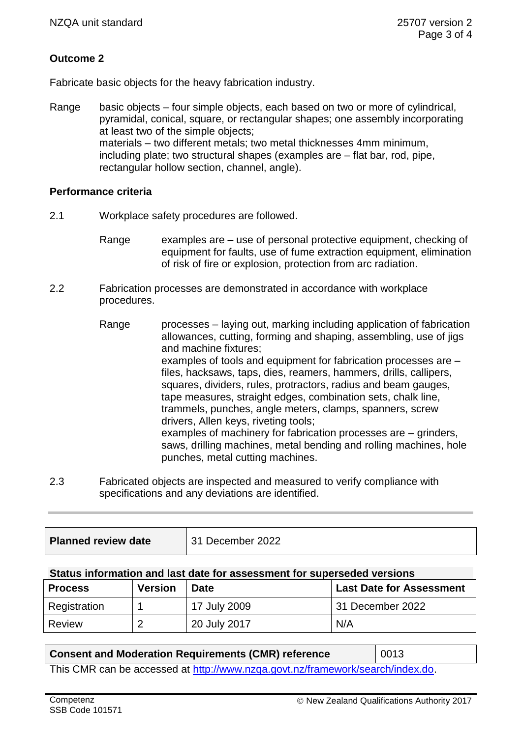## **Outcome 2**

Fabricate basic objects for the heavy fabrication industry.

Range basic objects – four simple objects, each based on two or more of cylindrical, pyramidal, conical, square, or rectangular shapes; one assembly incorporating at least two of the simple objects; materials – two different metals; two metal thicknesses 4mm minimum, including plate; two structural shapes (examples are – flat bar, rod, pipe, rectangular hollow section, channel, angle).

## **Performance criteria**

- 2.1 Workplace safety procedures are followed.
	- Range examples are use of personal protective equipment, checking of equipment for faults, use of fume extraction equipment, elimination of risk of fire or explosion, protection from arc radiation.
- 2.2 Fabrication processes are demonstrated in accordance with workplace procedures.
	- Range processes laying out, marking including application of fabrication allowances, cutting, forming and shaping, assembling, use of jigs and machine fixtures; examples of tools and equipment for fabrication processes are – files, hacksaws, taps, dies, reamers, hammers, drills, callipers, squares, dividers, rules, protractors, radius and beam gauges, tape measures, straight edges, combination sets, chalk line, trammels, punches, angle meters, clamps, spanners, screw drivers, Allen keys, riveting tools; examples of machinery for fabrication processes are – grinders, saws, drilling machines, metal bending and rolling machines, hole punches, metal cutting machines.
- 2.3 Fabricated objects are inspected and measured to verify compliance with specifications and any deviations are identified.

| <b>Planned review date</b> | 31 December 2022 |
|----------------------------|------------------|
|                            |                  |

#### **Status information and last date for assessment for superseded versions**

| <b>Process</b> | <b>Version</b> | <b>Date</b>  | <b>Last Date for Assessment</b> |
|----------------|----------------|--------------|---------------------------------|
| Registration   |                | 17 July 2009 | 31 December 2022                |
| Review         | $\overline{2}$ | 20 July 2017 | N/A                             |

## **Consent and Moderation Requirements (CMR) reference** | 0013

This CMR can be accessed at [http://www.nzqa.govt.nz/framework/search/index.do.](http://www.nzqa.govt.nz/framework/search/index.do)